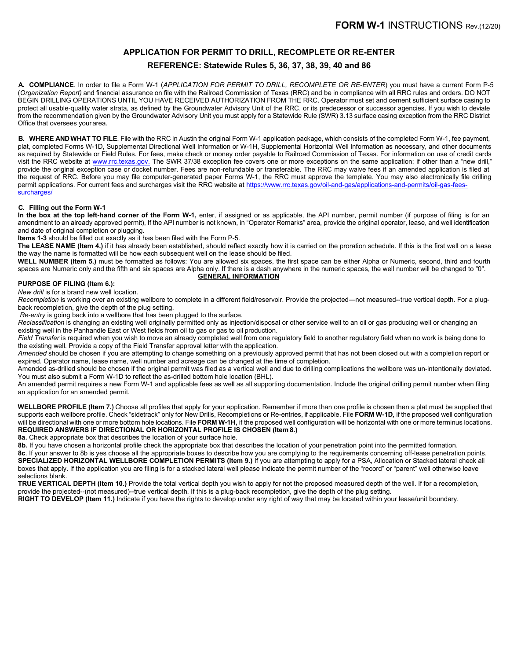# **APPLICATION FOR PERMIT TO DRILL, RECOMPLETE OR RE-ENTER REFERENCE: Statewide Rules 5, 36, 37, 38, 39, 40 and 86**

**A. COMPLIANCE**. In order to file a Form W-1 (*APPLICATION FOR PERMIT TO DRILL, RECOMPLETE OR RE-ENTER*) you must have a current Form P-5 (*Organization Report)* and financial assurance on file with the Railroad Commission of Texas (RRC) and be in compliance with all RRC rules and orders. DO NOT BEGIN DRILLING OPERATIONS UNTIL YOU HAVE RECEIVED AUTHORIZATION FROM THE RRC. Operator must set and cement sufficient surface casing to protect all usable-quality water strata, as defined by the Groundwater Advisory Unit of the RRC, or its predecessor or successor agencies. If you wish to deviate from the recommendation given by the Groundwater Advisory Unit you must apply for a Statewide Rule (SWR) 3.13 surface casing exception from the RRC District Office that oversees yourarea.

**B. WHERE ANDWHAT TO FILE**. File with the RRC in Austin the original Form W-1 application package, which consists of the completed Form W-1, fee payment, plat, completed Forms W-1D, Supplemental Directional Well Information or W-1H, Supplemental Horizontal Well Information as necessary, and other documents as required by Statewide or Field Rules. For fees, make check or money order payable to Railroad Commission of Texas. For information on use of credit cards visit the RRC website at [www.rrc.texas.gov.](https://www.rrc.texas.gov) The SWR 37/38 exception fee covers one or more exceptions on the same application; if other than a "new drill," provide the original exception case or docket number. Fees are non-refundable or transferable. The RRC may waive fees if an amended application is filed at the request of RRC. Before you may file computer-generated paper Forms W-1, the RRC must approve the template. You may also electronically file drilling permit applications. For current fees and surcharges visit the RRC website at [https://www.rrc.texas.gov/oil-and-gas/applications-and-permits/oil-gas-fees](https://www.rrc.texas.gov/oil-and-gas/applications-and-permits/oil-gas-fees-surcharges/)surcharges/

#### **C. Filling out the Form W-1**

**In the box at the top left-hand corner of the Form W-1,** enter, if assigned or as applicable, the API number, permit number (if purpose of filing is for an amendment to an already approved permit), If the API number is not known, in "Operator Remarks" area, provide the original operator, lease, and well identification and date of original completion or plugging.

**Items 1-3** should be filled out exactly as it has been filed with the Form P-5.

**The LEASE NAME (Item 4.)** if it has already been established, should reflect exactly how it is carried on the proration schedule. If this is the first well on a lease the way the name is formatted will be how each subsequent well on the lease should be filed.

**WELL NUMBER (Item 5.)** must be formatted as follows: You are allowed six spaces, the first space can be either Alpha or Numeric, second, third and fourth spaces are Numeric only and the fifth and six spaces are Alpha only. If there is a dash anywhere in the numeric spaces, the well number will be changed to "0". **GENERAL INFORMATION**

### **PURPOSE OF FILING (Item 6.):**

*New drill* is for a brand new well location.

*Recompletion* is working over an existing wellbore to complete in a different field/reservoir. Provide the projected—not measured--true vertical depth. For a plugback recompletion, give the depth of the plug setting.

*Re-entry* is going back into a wellbore that has been plugged to the surface.

*Reclassification* is changing an existing well originally permitted only as injection/disposal or other service well to an oil or gas producing well or changing an existing well in the Panhandle East or West fields from oil to gas or gas to oil production.

Field Transfer is required when you wish to move an already completed well from one regulatory field to another regulatory field when no work is being done to the existing well. Provide a copy of the Field Transfer approval letter with the application.

*Amended* should be chosen if you are attempting to change something on a previously approved permit that has not been closed out with a completion report or expired. Operator name, lease name, well number and acreage can be changed at the time of completion.

Amended as-drilled should be chosen if the original permit was filed as a vertical well and due to drilling complications the wellbore was un-intentionally deviated. You must also submit a Form W-1D to reflect the as-drilled bottom hole location (BHL).

An amended permit requires a new Form W-1 and applicable fees as well as all supporting documentation. Include the original drilling permit number when filing an application for an amended permit.

**WELLBORE PROFILE (Item 7.)** Choose all profiles that apply for your application. Remember if more than one profile is chosen then a plat must be supplied that supports each wellbore profile. Check "sidetrack" only for New Drills, Recompletions or Re-entries, if applicable. File **FORM W-1D***,* if the proposed well configuration will be directional with one or more bottom hole locations. File FORM W-1H, if the proposed well configuration will be horizontal with one or more terminus locations. **REQUIRED ANSWERS IF DIRECTIONAL OR HORIZONTAL PROFILE IS CHOSEN (Item 8.)**

**8a.** Check appropriate box that describes the location of your surface hole.

**8b.** If you have chosen a horizontal profile check the appropriate box that describes the location of your penetration point into the permitted formation.

**8c**. If your answer to 8b is yes choose all the appropriate boxes to describe how you are complying to the requirements concerning off-lease penetration points. **SPECIALIZED HORIZONTAL WELLBORE COMPLETION PERMITS (Item 9.)** If you are attempting to apply for a PSA, Allocation or Stacked lateral check all boxes that apply. If the application you are filing is for a stacked lateral well please indicate the permit number of the "record" or "parent" well otherwise leave selections blank.

**TRUE VERTICAL DEPTH (Item 10.)** Provide the total vertical depth you wish to apply for not the proposed measured depth of the well. If for a recompletion, provide the projected--(not measured)--true vertical depth. If this is a plug-back recompletion, give the depth of the plug setting.

**RIGHT TO DEVELOP (Item 11.)** Indicate if you have the rights to develop under any right of way that may be located within your lease/unit boundary.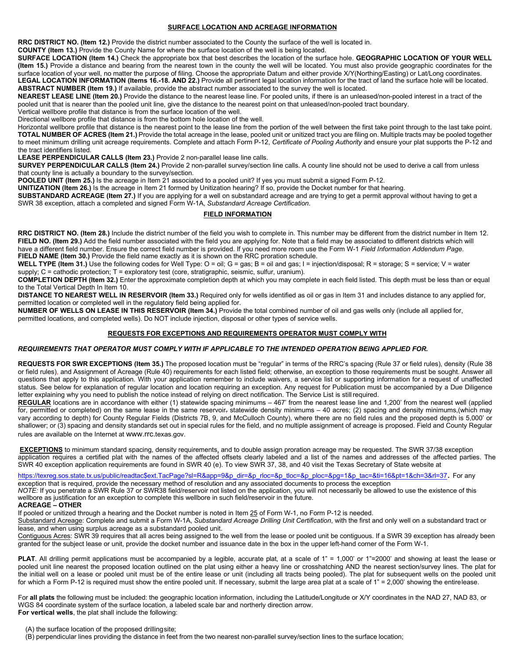#### **SURFACE LOCATION AND ACREAGE INFORMATION**

**RRC DISTRICT NO. (Item 12.)** Provide the district number associated to the County the surface of the well is located in.

**COUNTY (Item 13.)** Provide the County Name for where the surface location of the well is being located.

**SURFACE LOCATION (Item 14.)** Check the appropriate box that best describes the location of the surface hole. **GEOGRAPHIC LOCATION OF YOUR WELL (Item 15.)** Provide a distance and bearing from the nearest town in the county the well will be located. You must also provide geographic coordinates for the surface location of your well, no matter the purpose of filing. Choose the appropriate Datum and either provide X/Y(Northing/Easting) or Lat/Long coordinates. **LEGAL LOCATION INFORMATION (Items 16.-18. AND 22.)** Provide all pertinent legal location information for the tract of land the surface hole will be located. **ABSTRACT NUMBER (Item 19.)** If available, provide the abstract number associated to the survey the well is located.

**NEAREST LEASE LINE (Item 20.)** Provide the distance to the nearest lease line. For pooled units, if there is an unleased/non-pooled interest in a tract of the pooled unit that is nearer than the pooled unit line, give the distance to the nearest point on that unleased/non-pooled tract boundary.

Vertical wellbore profile that distance is from the surface location of the well.

Directional wellbore profile that distance is from the bottom hole location of the well.

Horizontal wellbore profile that distance is the nearest point to the lease line from the portion of the well between the first take point through to the last take point. **TOTAL NUMBER OF ACRES (Item 21.)** Provide the total acreage in the lease, pooled unit or unitized tract you are filing on. Multiple tracts may be pooled together to meet minimum drilling unit acreage requirements. Complete and attach Form P-12, *Certificate of Pooling Authority* and ensure your plat supports the P-12 and the tract identifiers listed.

**LEASE PERPENDICULAR CALLS (Item 23.)** Provide 2 non-parallel lease line calls.

**SURVEY PERPENDICULAR CALLS (Item 24.)** Provide 2 non-parallel survey/section line calls. A county line should not be used to derive a call from unless that county line is actually a boundary to the survey/section.

**POOLED UNIT (Item 25.)** Is the acreage in Item 21 associated to a pooled unit? If yes you must submit a signed Form P-12.

**UNITIZATION (Item 26.)** Is the acreage in Item 21 formed by Unitization hearing? If so, provide the Docket number for that hearing.

**SUBSTANDARD ACREAGE (Item 27.)** If you are applying for a well on substandard acreage and are trying to get a permit approval without having to get a SWR 38 exception, attach a completed and signed Form W-1A, *Substandard Acreage Certification*.

## **FIELD INFORMATION**

**RRC DISTRICT NO. (Item 28.)** Include the district number of the field you wish to complete in. This number may be different from the district number in Item 12. FIELD NO. (Item 29.) Add the field number associated with the field you are applying for. Note that a field may be associated to different districts which will have a different field number. Ensure the correct field number is provided. If you need more room use the Form W-1 *Field Information Addendum Page*. **FIELD NAME (Item 30.)** Provide the field name exactly as it is shown on the RRC proration schedule.

WELL TYPE (Item 31.) Use the following codes for Well Type: O = oil; G = gas; B = oil and gas; I = injection/disposal; R = storage; S = service; V = water supply; C = cathodic protection; T = exploratory test (core, stratigraphic, seismic, sulfur, uranium).

**COMPLETION DEPTH (Item 32.)** Enter the approximate completion depth at which you may complete in each field listed. This depth must be less than or equal to the Total Vertical Depth In Item 10.

**DISTANCE TO NEAREST WELL IN RESERVOIR (Item 33.)** Required only for wells identified as oil or gas in Item 31 and includes distance to any applied for, permitted location or completed well in the regulatory field being applied for.

**NUMBER OF WELLS ON LEASE IN THIS RESERVOIR (Item 34.)** Provide the total combined number of oil and gas wells only (include all applied for, permitted locations, and completed wells). Do NOT include injection, disposal or other types of service wells.

# **REQUESTS FOR EXCEPTIONS AND REQUIREMENTS OPERATOR MUST COMPLY WITH**

#### *REQUIREMENTS THAT OPERATOR MUST COMPLY WITH IF APPLICABLE TO THE INTENDED OPERATION BEING APPLIED FOR.*

**REQUESTS FOR SWR EXCEPTIONS (Item 35.)** The proposed location must be "regular" in terms of the RRC's spacing (Rule 37 or field rules), density (Rule 38 or field rules), and Assignment of Acreage (Rule 40) requirements for each listed field; otherwise, an exception to those requirements must be sought. Answer all questions that apply to this application. With your application remember to include waivers, a service list or supporting information for a request of unaffected status. See below for explanation of regular location and location requiring an exception. Any request for Publication must be accompanied by a Due Diligence letter explaining why you need to publish the notice instead of relying on direct notification. The Service List is stillrequired.

**REGULAR** locations are in accordance with either (1) statewide spacing minimums – 467' from the nearest lease line and 1,200' from the nearest well (applied for, permitted or completed) on the same lease in the same reservoir, statewide density minimums – 40 acres; (2) spacing and density minimums,(which may vary according to depth) for County Regular Fields (Districts 7B, 9, and McCulloch County), where there are no field rules and the proposed depth is 5,000' or shallower; or (3) spacing and density standards set out in special rules for the field, and no multiple assignment of acreage is proposed. Field and County Regular rules are available on the Internet at [www.rrc.](http://www.rrc.texas.gov/)[texas.gov.](http://www.rrc.texas.gov/)

**EXCEPTIONS** to minimum standard spacing, density requirements, and to double assign proration acreage may be requested. The SWR 37/38 exception application requires a certified plat with the names of the affected offsets clearly labeled and a list of the names and addresses of the affected parties. The SWR 40 exception application requirements are found in SWR 40 (e). To view SWR 37, 38, and 40 visit the Texas Secretary of State website at

[https://texreg.sos.state.tx.us/public/readtac\\$ext.TacPage?sl=R&app=9&p\\_dir=&p](http://texreg.sos.state.tx.us/public/readtac%24ext.ViewTAC?tac_view=3&%3Bti=16&%3Bpt=1)[\\_rloc=&p\\_tloc=&p\\_ploc=&pg=1&p\\_tac=&ti=16&pt=1&ch=3&rl=37](https://texreg.sos.state.tx.us/public/readtac$ext.TacPage?sl=R&app=9&p_dir=&p_rloc=&p_tloc=&p_ploc=&pg=1&p_tac=&ti=16&pt=1&ch=3&rl=37). For any exception that is required, provide the necessary method of resolution and any associated documents to process the exception

*NOTE:* If you penetrate a SWR Rule 37 or SWR38 field/reservoir not listed on the application, you will not necessarily be allowed to use the existence of this wellbore as justification for an exception to complete this wellbore in such field/reservoir in the future.

## **ACREAGE – OTHER**

If pooled or unitized through a hearing and the Docket number is noted in Item 25 of Form W-1, no Form P-12 is needed.

Substandard Acreage: Complete and submit a Form W-1A, *Substandard Acreage Drilling Unit Certification*, with the first and only well on a substandard tract or lease, and when using surplus acreage as a substandard pooled unit.

Contiguous Acres: SWR 39 requires that all acres being assigned to the well from the lease or pooled unit be contiguous. If a SWR 39 exception has already been granted for the subject lease or unit, provide the docket number and issuance date in the box in the upper left-hand corner of the Form W-1.

**PLAT**. All drilling permit applications must be accompanied by a legible, accurate plat, at a scale of 1" = 1,000' or 1"=2000' and showing at least the lease or pooled unit line nearest the proposed location outlined on the plat using either a heavy line or crosshatching AND the nearest section/survey lines. The plat for the initial well on a lease or pooled unit must be of the entire lease or unit (including all tracts being pooled). The plat for subsequent wells on the pooled unit for which a Form P-12 is required must show the entire pooled unit. If necessary, submit the large area plat at a scale of 1" = 2,000' showing the entirelease.

For **all plats** the following must be included: the geographic location information, including the Latitude/Longitude or X/Y coordinates in the NAD 27, NAD 83, or WGS 84 coordinate system of the surface location, a labeled scale bar and northerly direction arrow. **For vertical wells**, the plat shall include the following:

(A) the surface location of the proposed drillingsite;

(B) perpendicular lines providing the distance in feet from the two nearest non-parallel survey/section lines to the surface location;